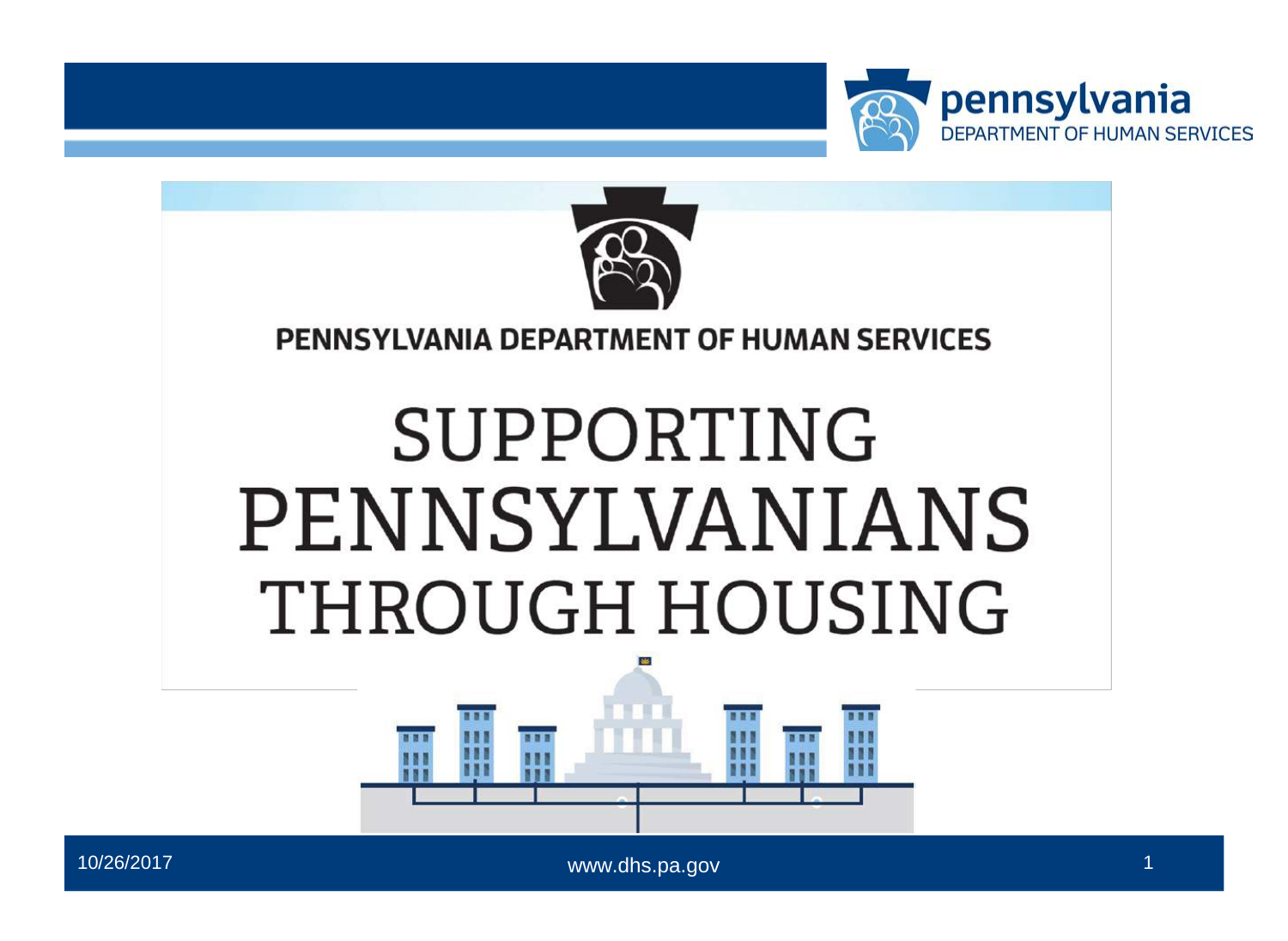



#### **PENNSYLVANIA DEPARTMENT OF HUMAN SERVICES**

# SUPPORTING PENNSYLVANIANS THROUGH HOUSING



10/26/2017

www.dhs.pa.gov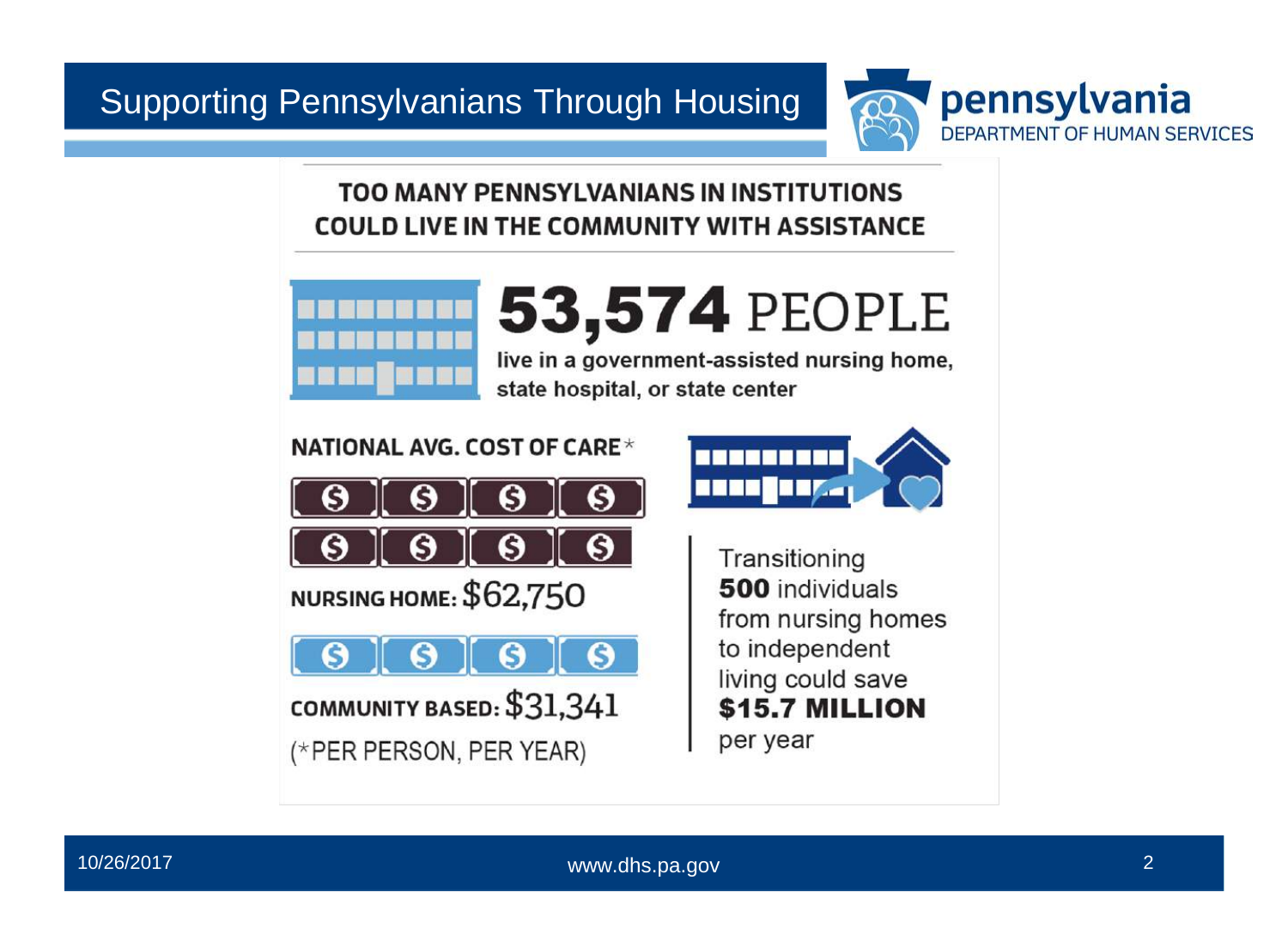

**TOO MANY PENNSYLVANIANS IN INSTITUTIONS COULD LIVE IN THE COMMUNITY WITH ASSISTANCE**



# **53,574** PEOPLE

live in a government-assisted nursing home, state hospital, or state center

**NATIONAL AVG. COST OF CARE\***





**NURSING HOME: \$62,750**

**COMMUNITY BASED:** \$31,341 (\*PER PERSON, PER YEAR)

**Transitioning 500** individuals from nursing homes to independent living could save **\$15.7 MILLION** per year

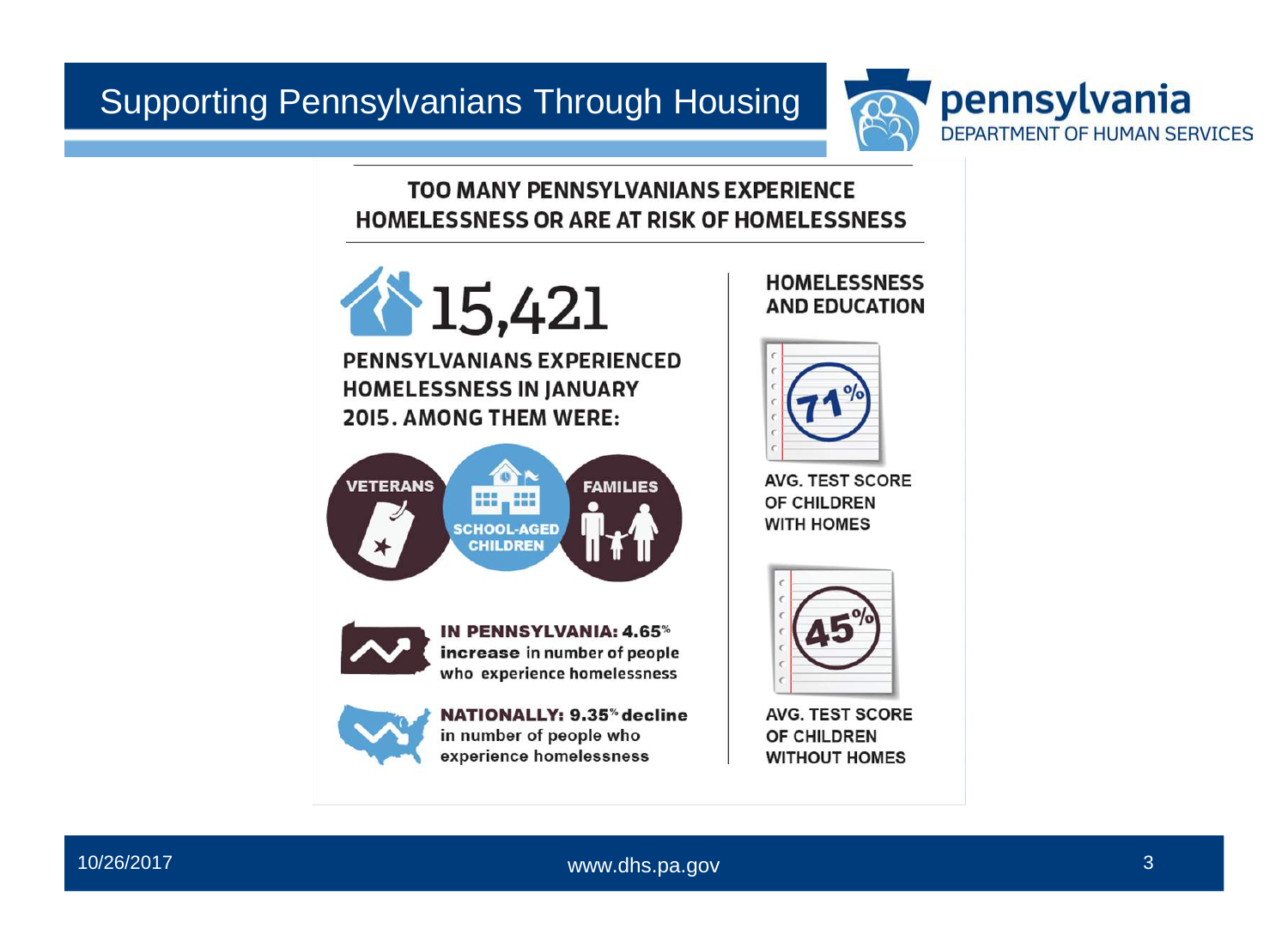

#### **TOO MANY PENNSYLVANIANS EXPERIENCE HOMELESSNESS OR ARE AT RISK OF HOMELESSNESS**





**NATIONALLY: 9.35%decline in number of people who experience homelessness**

#### **HOMELESSNESS AND EDUCATION**



**AVG. TEST SCORE OF CHILDREN WITH HOMES**



**AVG. TEST SCORE OF CHILDREN WITHOUT HOMES**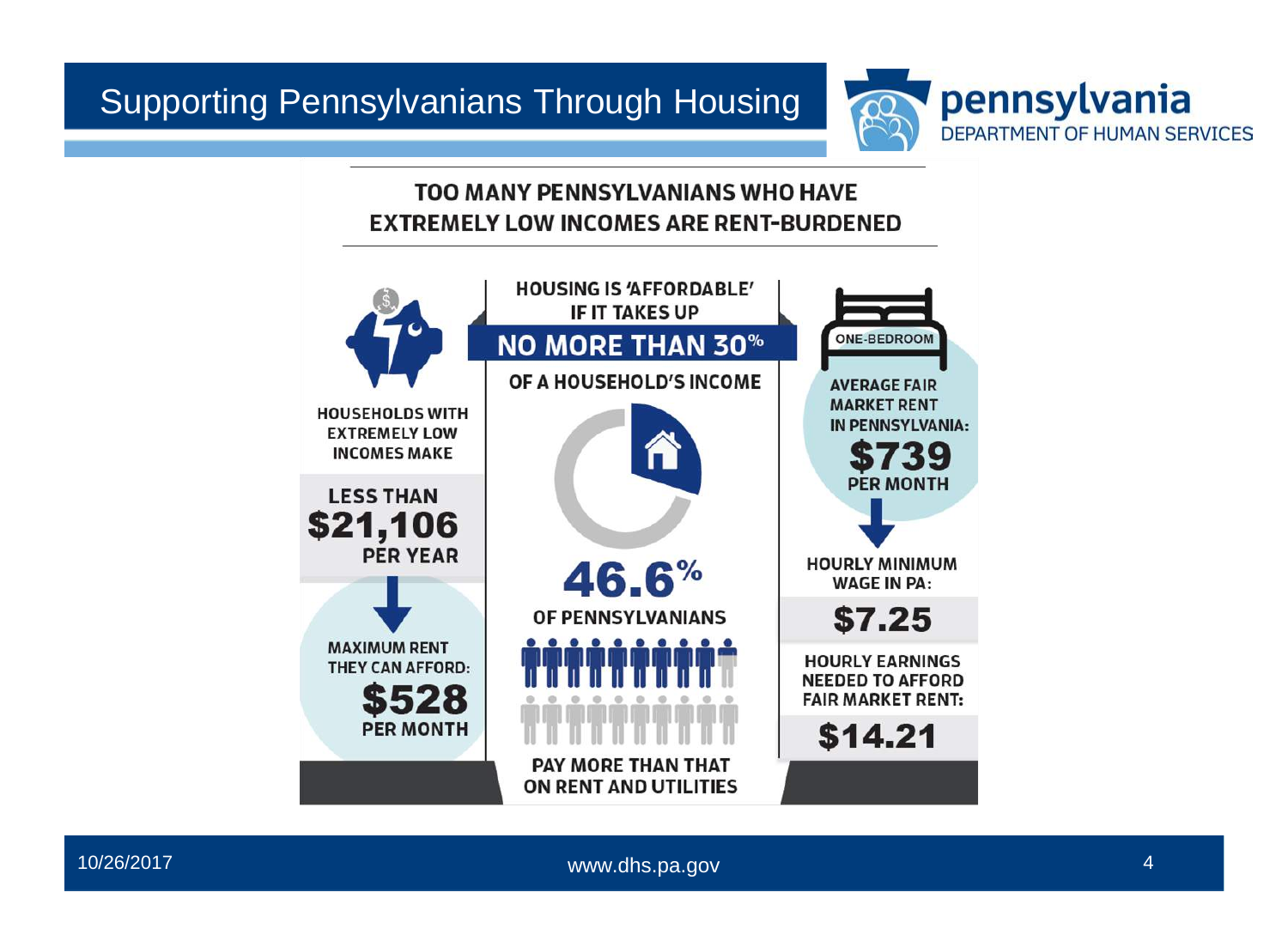

#### **TOO MANY PENNSYLVANIANS WHO HAVE EXTREMELY LOW INCOMES ARE RENT-BURDENED** l



[www.dhs.pa.gov](http://www.dhs.pa.gov) 4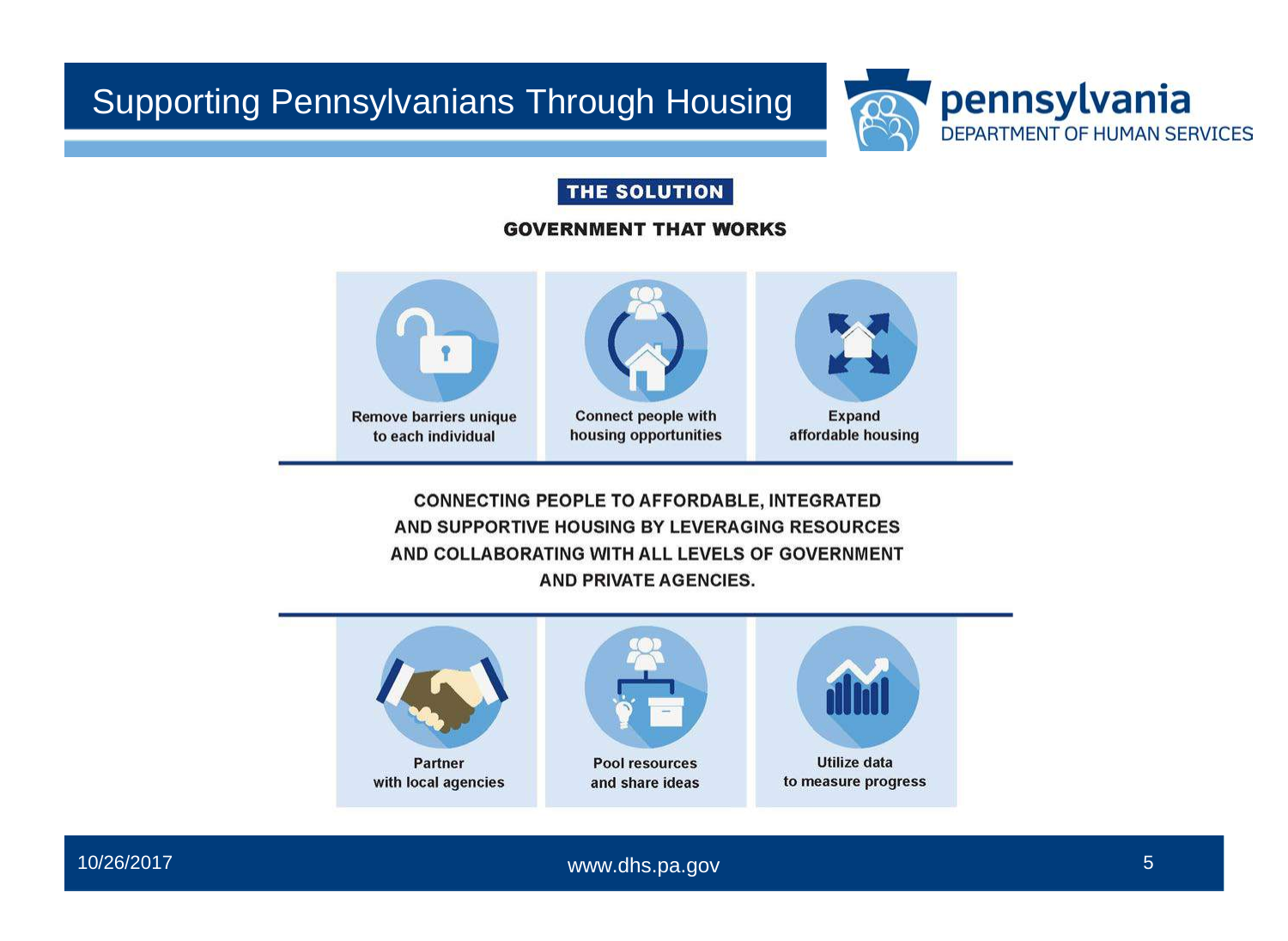

#### **THE SOLUTION**

#### **GOVERNMENT THAT WORKS**





**Remove barriers unique Connect people with Expand to each individual housing opportunities** 



affordable housing

**CONNECTING PEOPLE TO AFFORDABLE, INTEGRATED AND SUPPORTIVE HOUSING BY LEVERAGING RESOURCES AND COLLABORATING WITH ALL LEVELS OF GOVERNMENT AND PRIVATE AGENCIES.**





[www.dhs.pa.gov](http://www.dhs.pa.gov) 5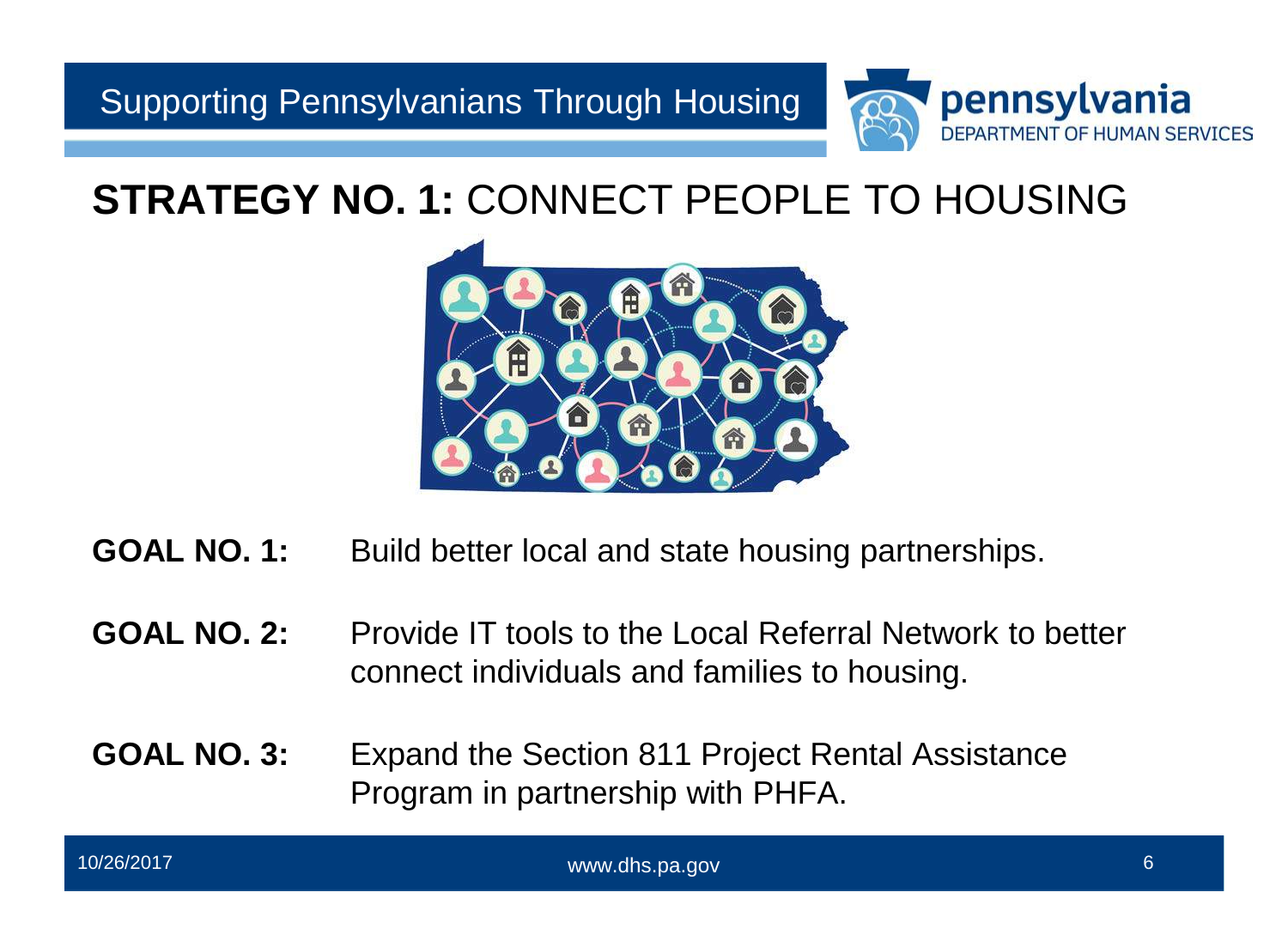

### **STRATEGY NO. 1:** CONNECT PEOPLE TO HOUSING



- **GOAL NO. 1:** Build better local and state housing partnerships.
- **GOAL NO. 2:** Provide IT tools to the Local Referral Network to better connect individuals and families to housing.
- **GOAL NO. 3:** Expand the Section 811 Project Rental Assistance Program in partnership with PHFA.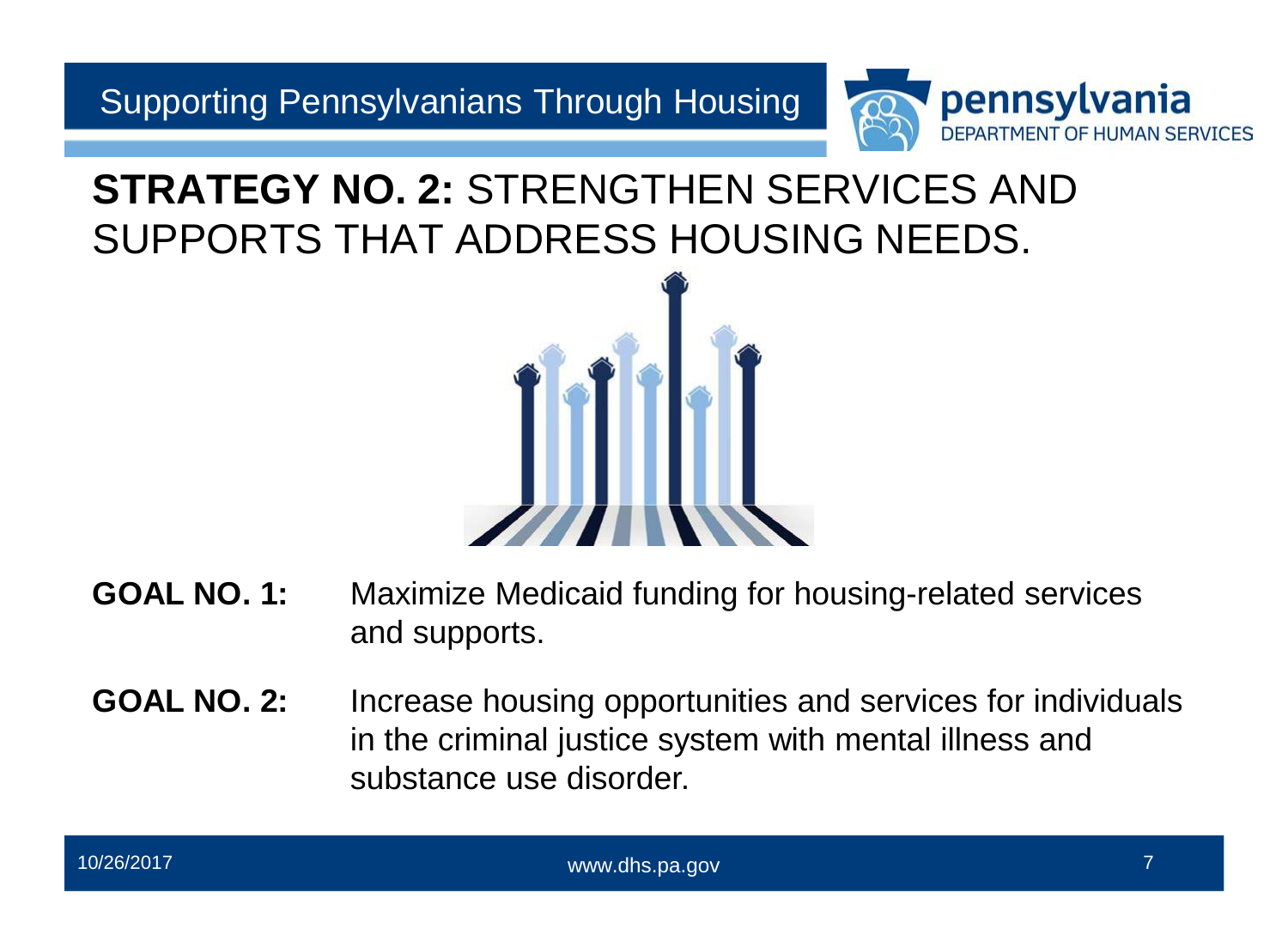

### **STRATEGY NO. 2:** STRENGTHEN SERVICES AND SUPPORTS THAT ADDRESS HOUSING NEEDS.



- **GOAL NO. 1:** Maximize Medicaid funding for housing-related services and supports.
- **GOAL NO. 2:** Increase housing opportunities and services for individuals in the criminal justice system with mental illness and substance use disorder.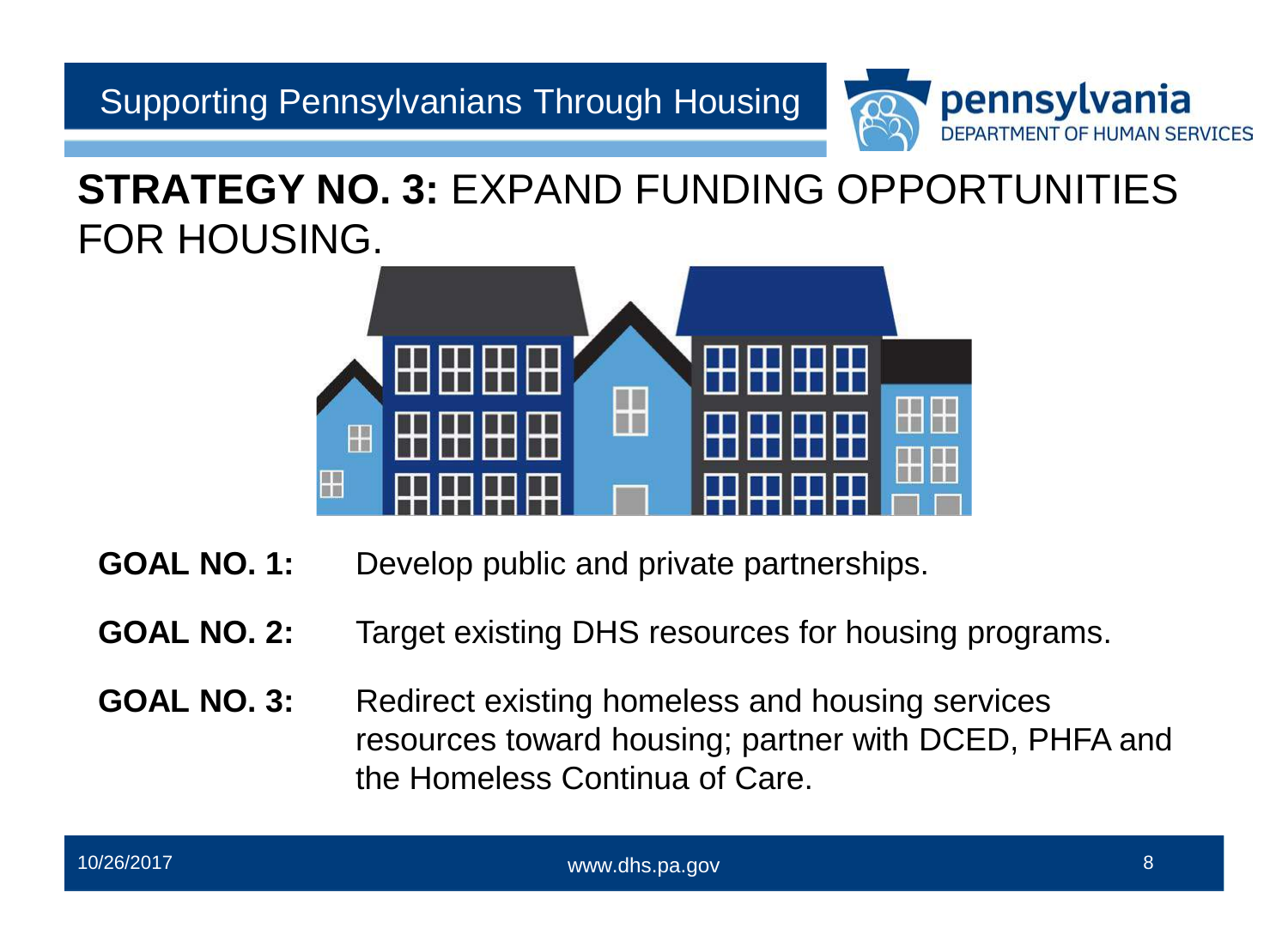

### **STRATEGY NO. 3:** EXPAND FUNDING OPPORTUNITIES FOR HOUSING.



- **GOAL NO. 1:** Develop public and private partnerships.
- **GOAL NO. 2:** Target existing DHS resources for housing programs.
- resources toward housing; partner with DCED, PHFA and **GOAL NO. 3:** Redirect existing homeless and housing services the Homeless Continua of Care.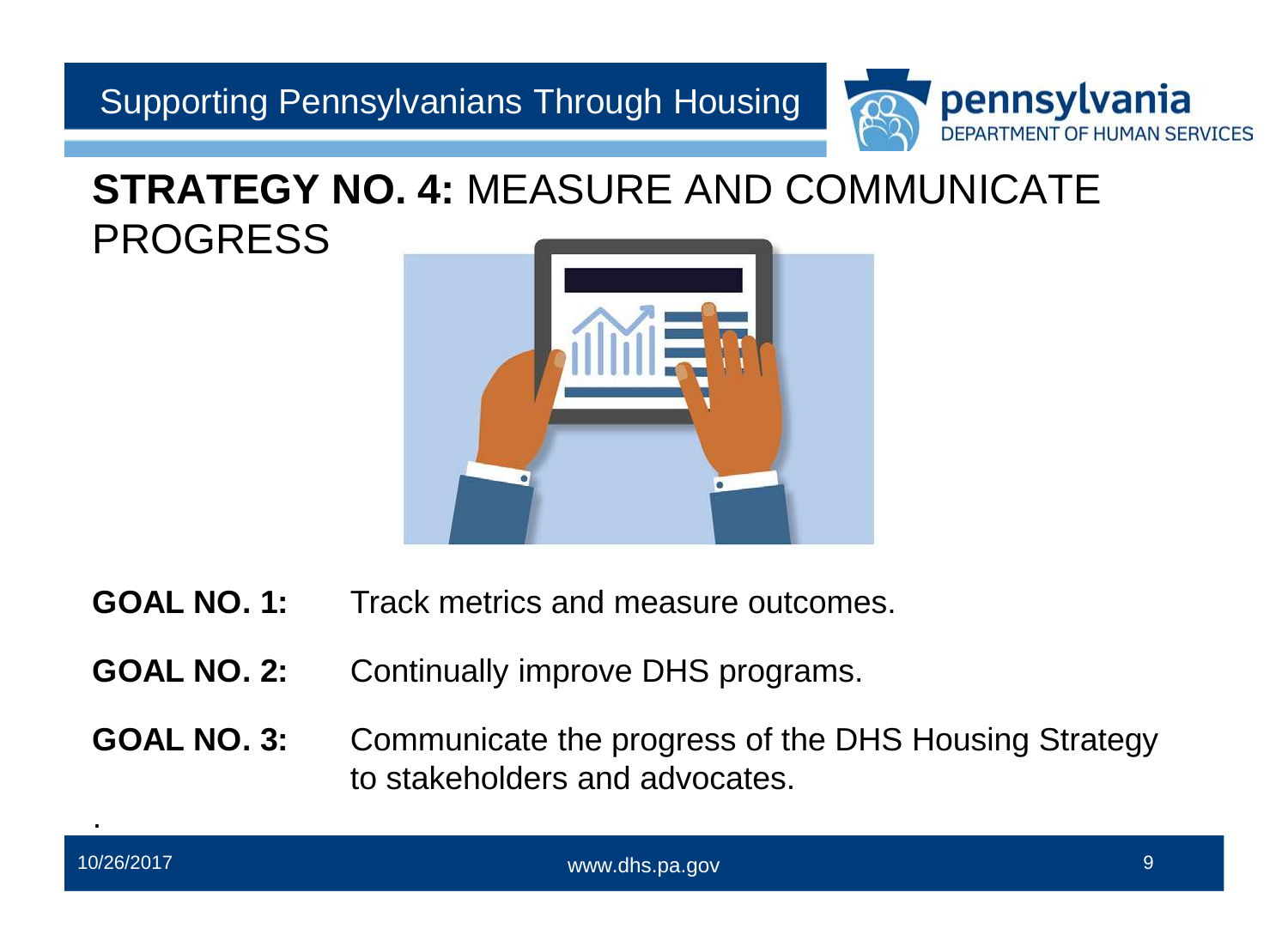

### **STRATEGY NO. 4:** MEASURE AND COMMUNICATE PROGRESS



- **GOAL NO. 1:** Track metrics and measure outcomes.
- **GOAL NO. 2:** Continually improve DHS programs.
- **GOAL NO. 3:** Communicate the progress of the DHS Housing Strategy to stakeholders and advocates.

.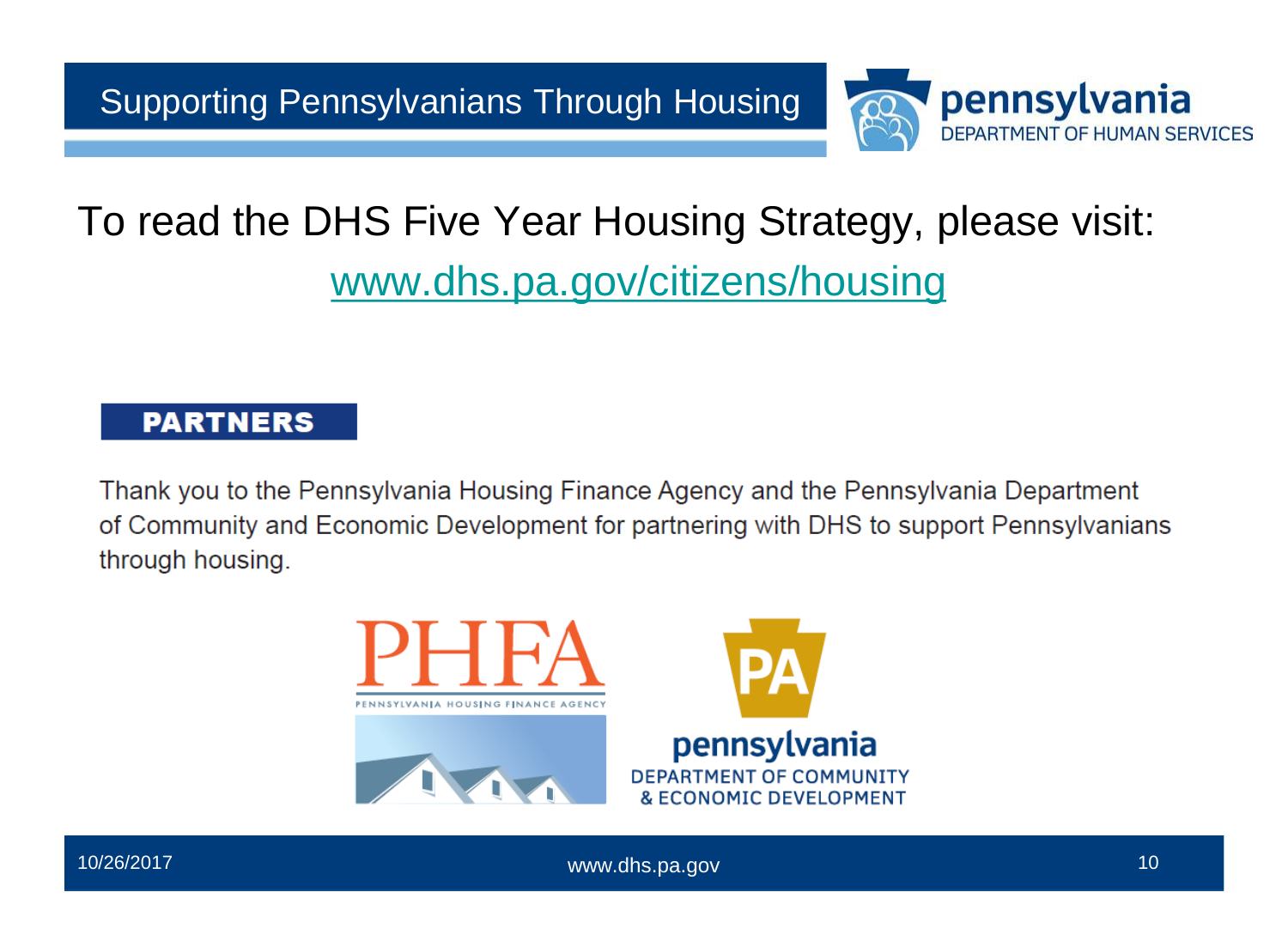

# To read the DHS Five Year Housing Strategy, please visit: [www.dhs.pa.gov/citizens/housing](http://www.dhs.pa.gov/citizens/housing)

### **PARTNERS**

Thank you to the Pennsylvania Housing Finance Agency and the Pennsylvania Department of Community and Economic Development for partnering with DHS to support Pennsylvanians through housing.



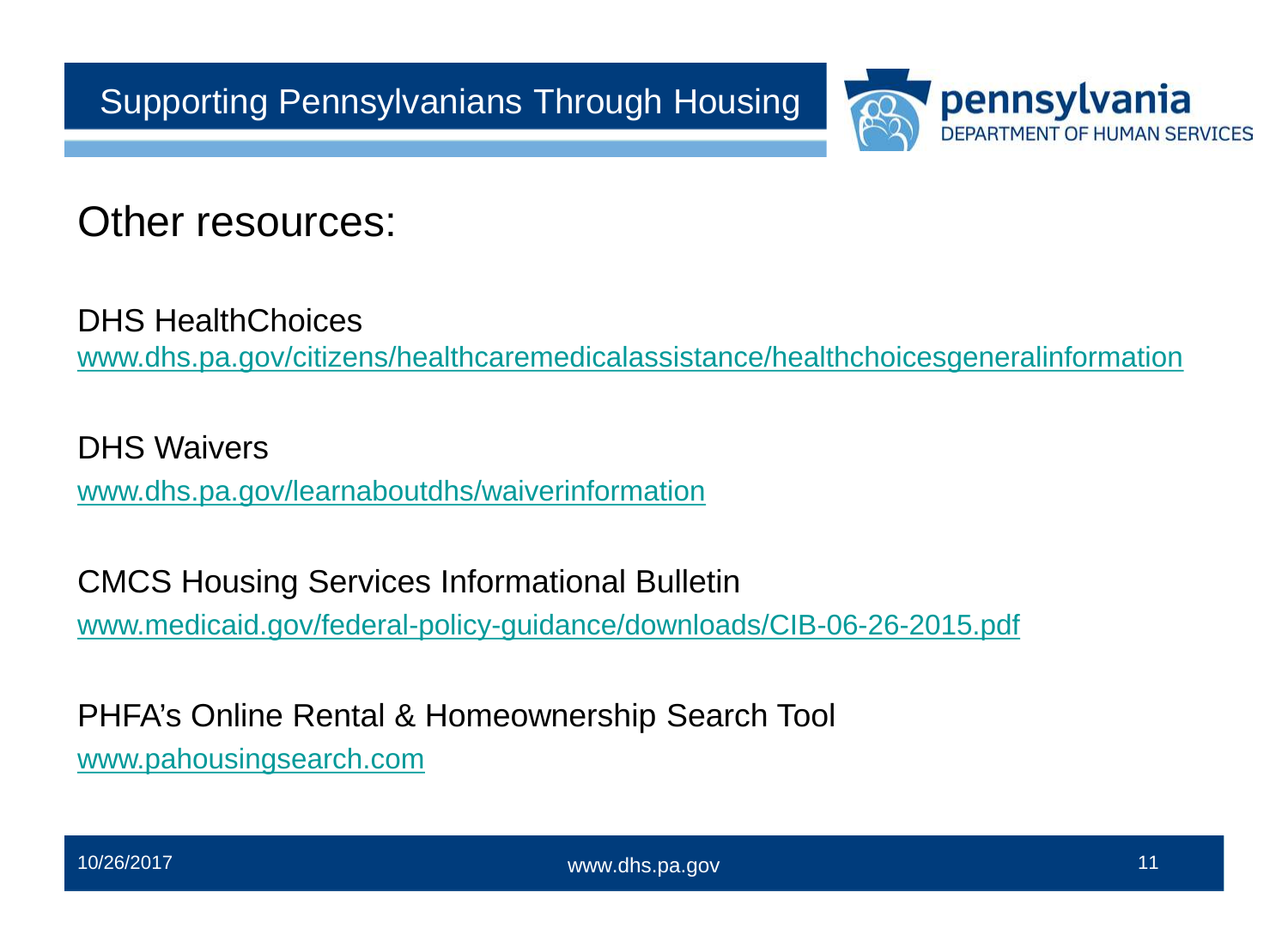

Other resources:

DHS HealthChoices [www.dhs.pa.gov/citizens/healthcaremedicalassistance/healthchoicesgeneralinformation](http://www.dhs.pa.gov/citizens/healthcaremedicalassistance/healthchoicesgeneralinformation) 

DHS Waivers [www.dhs.pa.gov/learnaboutdhs/waiverinformation](http://www.dhs.pa.gov/learnaboutdhs/waiverinformation) 

CMCS Housing Services Informational Bulletin

[www.medicaid.gov/federal-policy-guidance/downloads/CIB-06-26-2015.pdf](http://www.medicaid.gov/federal-policy-guidance/downloads/CIB-06-26-2015.pdf) 

PHFA's Online Rental & Homeownership Search Tool [www.pahousingsearch.com](http://www.pahousingsearch.com/)